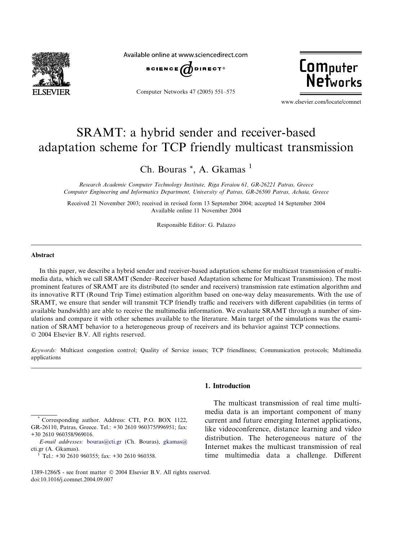

Available online at www.sciencedirect.com



Computer Networks 47 (2005) 551–575



www.elsevier.com/locate/comnet

# SRAMT: a hybrid sender and receiver-based adaptation scheme for TCP friendly multicast transmission

## Ch. Bouras \*, A. Gkamas <sup>1</sup>

Research Academic Computer Technology Institute, Riga Feraiou 61, GR-26221 Patras, Greece Computer Engineering and Informatics Department, University of Patras, GR-26500 Patras, Achaia, Greece

Received 21 November 2003; received in revised form 13 September 2004; accepted 14 September 2004 Available online 11 November 2004

Responsible Editor: G. Palazzo

#### Abstract

In this paper, we describe a hybrid sender and receiver-based adaptation scheme for multicast transmission of multimedia data, which we call SRAMT (Sender–Receiver based Adaptation scheme for Multicast Transmission). The most prominent features of SRAMT are its distributed (to sender and receivers) transmission rate estimation algorithm and its innovative RTT (Round Trip Time) estimation algorithm based on one-way delay measurements. With the use of SRAMT, we ensure that sender will transmit TCP friendly traffic and receivers with different capabilities (in terms of available bandwidth) are able to receive the multimedia information. We evaluate SRAMT through a number of simulations and compare it with other schemes available to the literature. Main target of the simulations was the examination of SRAMT behavior to a heterogeneous group of receivers and its behavior against TCP connections. 2004 Elsevier B.V. All rights reserved.

Keywords: Multicast congestion control; Quality of Service issues; TCP friendliness; Communication protocols; Multimedia applications

## 1. Introduction

The multicast transmission of real time multimedia data is an important component of many current and future emerging Internet applications, like videoconference, distance learning and video distribution. The heterogeneous nature of the Internet makes the multicast transmission of real time multimedia data a challenge. Different

Corresponding author. Address: CTI, P.O. BOX 1122, GR-26110, Patras, Greece. Tel.: +30 2610 960375/996951; fax: +30 2610 960358/969016.

E-mail addresses: [bouras@cti.gr](mailto:bouras@cti.gr ) (Ch. Bouras), [gkamas@](mailto:gkamas@	) cti.gr (A. Gkamas). <sup>1</sup> Tel.: +30 2610 960355; fax: +30 2610 960358.

<sup>1389-1286/\$ -</sup> see front matter © 2004 Elsevier B.V. All rights reserved. doi:10.1016/j.comnet.2004.09.007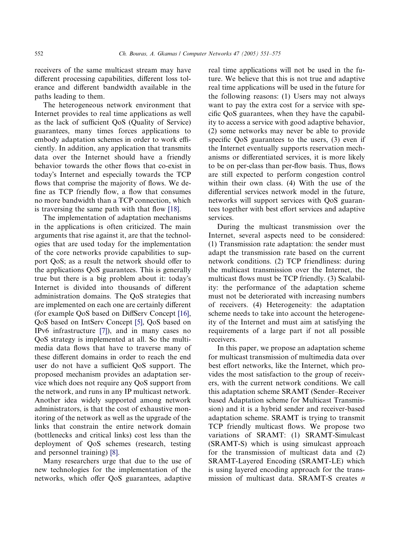receivers of the same multicast stream may have different processing capabilities, different loss tolerance and different bandwidth available in the paths leading to them.

The heterogeneous network environment that Internet provides to real time applications as well as the lack of sufficient QoS (Quality of Service) guarantees, many times forces applications to embody adaptation schemes in order to work efficiently. In addition,any application that transmits data over the Internet should have a friendly behavior towards the other flows that co-exist in todays Internet and especially towards the TCP flows that comprise the majority of flows. We define as TCP friendly flow, a flow that consumes no more bandwidth than a TCP connection, which is traversing the same path with that flow [\[18\]](#page-24-0).

The implementation of adaptation mechanisms in the applications is often criticized. The main arguments that rise against it, are that the technologies that are used today for the implementation of the core networks provide capabilities to support QoS; as a result the network should offer to the applications QoS guarantees. This is generally true but there is a big problem about it: todays Internet is divided into thousands of different administration domains. The QoS strategies that are implemented on each one are certainly different (for example QoS based on DiffServ Concept [\[16\],](#page-24-0) QoS based on IntServ Concept [\[5\],](#page-23-0) QoS based on IPv6 infrastructure  $[7]$ , and in many cases no QoS strategy is implemented at all. So the multimedia data flows that have to traverse many of these different domains in order to reach the end user do not have a sufficient QoS support. The proposed mechanism provides an adaptation service which does not require any QoS support from the network, and runs in any IP multicast network. Another idea widely supported among network administrators, is that the cost of exhaustive monitoring of the network as well as the upgrade of the links that constrain the entire network domain (bottlenecks and critical links) cost less than the deployment of QoS schemes (research, testing and personnel training) [\[8\].](#page-23-0)

Many researchers urge that due to the use of new technologies for the implementation of the networks, which offer QoS guarantees, adaptive

real time applications will not be used in the future. We believe that this is not true and adaptive real time applications will be used in the future for the following reasons: (1) Users may not always want to pay the extra cost for a service with specific QoS guarantees,when they have the capability to access a service with good adaptive behavior, (2) some networks may never be able to provide specific QoS guarantees to the users, (3) even if the Internet eventually supports reservation mechanisms or differentiated services, it is more likely to be on per-class than per-flow basis. Thus, flows are still expected to perform congestion control within their own class. (4) With the use of the differential services network model in the future, networks will support services with QoS guarantees together with best effort services and adaptive services.

During the multicast transmission over the Internet, several aspects need to be considered: (1) Transmission rate adaptation: the sender must adapt the transmission rate based on the current network conditions. (2) TCP friendliness: during the multicast transmission over the Internet, the multicast flows must be TCP friendly. (3) Scalability: the performance of the adaptation scheme must not be deteriorated with increasing numbers of receivers. (4) Heterogeneity: the adaptation scheme needs to take into account the heterogeneity of the Internet and must aim at satisfying the requirements of a large part if not all possible receivers.

In this paper, we propose an adaptation scheme for multicast transmission of multimedia data over best effort networks, like the Internet, which provides the most satisfaction to the group of receivers, with the current network conditions. We call this adaptation scheme SRAMT (Sender–Receiver based Adaptation scheme for Multicast Transmission) and it is a hybrid sender and receiver-based adaptation scheme. SRAMT is trying to transmit TCP friendly multicast flows. We propose two variations of SRAMT: (1) SRAMT-Simulcast (SRAMT-S) which is using simulcast approach for the transmission of multicast data and (2) SRAMT-Layered Encoding (SRAMT-LE) which is using layered encoding approach for the transmission of multicast data. SRAMT-S creates  $n$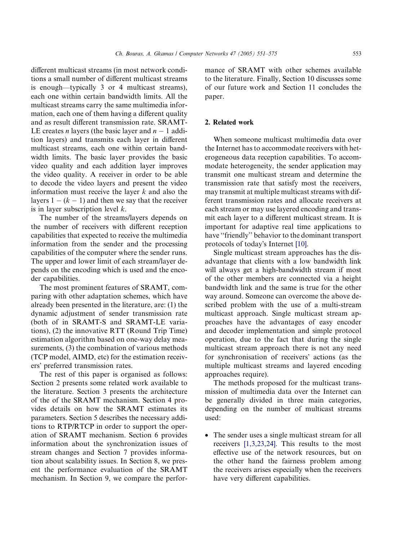different multicast streams (in most network conditions a small number of different multicast streams is enough—typically 3 or 4 multicast streams), each one within certain bandwidth limits. All the multicast streams carry the same multimedia information, each one of them having a different quality and as result different transmission rate. SRAMT-LE creates *n* layers (the basic layer and  $n - 1$  addition layers) and transmits each layer in different multicast streams, each one within certain bandwidth limits. The basic layer provides the basic video quality and each addition layer improves the video quality. A receiver in order to be able to decode the video layers and present the video information must receive the layer  $k$  and also the layers  $1 - (k - 1)$  and then we say that the receiver is in layer subscription level  $k$ .

The number of the streams/layers depends on the number of receivers with different reception capabilities that expected to receive the multimedia information from the sender and the processing capabilities of the computer where the sender runs. The upper and lower limit of each stream/layer depends on the encoding which is used and the encoder capabilities.

The most prominent features of SRAMT, comparing with other adaptation schemes, which have already been presented in the literature, are:  $(1)$  the dynamic adjustment of sender transmission rate (both of in SRAMT-S and SRAMT-LE variations),(2) the innovative RTT (Round Trip Time) estimation algorithm based on one-way delay measurements, (3) the combination of various methods (TCP model,AIMD,etc) for the estimation receivers' preferred transmission rates.

The rest of this paper is organised as follows: Section 2 presents some related work available to the literature. Section 3 presents the architecture of the of the SRAMT mechanism. Section 4 provides details on how the SRAMT estimates its parameters. Section 5 describes the necessary additions to RTP/RTCP in order to support the operation of SRAMT mechanism. Section 6 provides information about the synchronization issues of stream changes and Section 7 provides information about scalability issues. In Section 8, we present the performance evaluation of the SRAMT mechanism. In Section 9, we compare the performance of SRAMT with other schemes available to the literature. Finally, Section 10 discusses some of our future work and Section 11 concludes the paper.

## 2. Related work

When someone multicast multimedia data over the Internet has to accommodate receivers with heterogeneous data reception capabilities. To accommodate heterogeneity, the sender application may transmit one multicast stream and determine the transmission rate that satisfy most the receivers, may transmit at multiple multicast streams with different transmission rates and allocate receivers at each stream or may use layered encoding and transmit each layer to a different multicast stream. It is important for adaptive real time applications to have ''friendly'' behavior to the dominant transport protocols of today's Internet [\[10\].](#page-23-0)

Single multicast stream approaches has the disadvantage that clients with a low bandwidth link will always get a high-bandwidth stream if most of the other members are connected via a height bandwidth link and the same is true for the other way around. Someone can overcome the above described problem with the use of a multi-stream multicast approach. Single multicast stream approaches have the advantages of easy encoder and decoder implementation and simple protocol operation, due to the fact that during the single multicast stream approach there is not any need for synchronisation of receivers' actions (as the multiple multicast streams and layered encoding approaches require).

The methods proposed for the multicast transmission of multimedia data over the Internet can be generally divided in three main categories, depending on the number of multicast streams used:

• The sender uses a single multicast stream for all receivers [\[1,3,23,24\].](#page-23-0) This results to the most effective use of the network resources, but on the other hand the fairness problem among the receivers arises especially when the receivers have very different capabilities.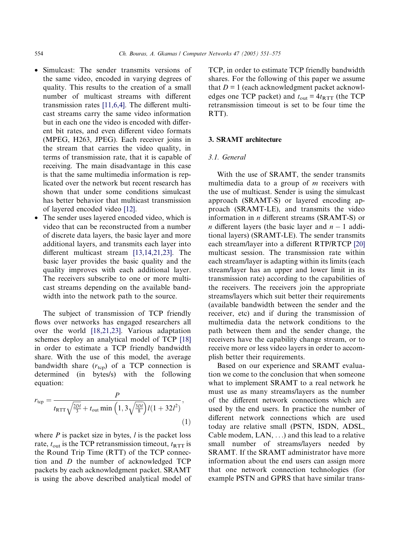- Simulcast: The sender transmits versions of the same video, encoded in varying degrees of quality. This results to the creation of a small number of multicast streams with different transmission rates [\[11,6,4\]](#page-23-0). The different multicast streams carry the same video information but in each one the video is encoded with different bit rates, and even different video formats (MPEG, H263, JPEG). Each receiver joins in the stream that carries the video quality, in terms of transmission rate, that it is capable of receiving. The main disadvantage in this case is that the same multimedia information is replicated over the network but recent research has shown that under some conditions simulcast has better behavior that multicast transmission of layered encoded video [\[12\].](#page-23-0)
- The sender uses layered encoded video, which is video that can be reconstructed from a number of discrete data layers, the basic layer and more additional layers, and transmits each layer into different multicast stream [\[13,14,21,23\]](#page-23-0). The basic layer provides the basic quality and the quality improves with each additional layer. The receivers subscribe to one or more multicast streams depending on the available bandwidth into the network path to the source.

The subject of transmission of TCP friendly flows over networks has engaged researchers all over the world [\[18,21,23\].](#page-24-0) Various adaptation schemes deploy an analytical model of TCP [\[18\]](#page-24-0) in order to estimate a TCP friendly bandwidth share. With the use of this model, the average bandwidth share  $(r_{\text{top}})$  of a TCP connection is determined (in bytes/s) with the following equation:

$$
r_{\text{top}} = \frac{P}{t_{\text{RTT}}\sqrt{\frac{2DI}{3}} + t_{\text{out}}\min\left(1, 3\sqrt{\frac{3DI}{8}}\right)l(1 + 32l^2)},\tag{1}
$$

where  $P$  is packet size in bytes,  $l$  is the packet loss rate,  $t_{\text{out}}$  is the TCP retransmission timeout,  $t_{\text{RTT}}$  is the Round Trip Time (RTT) of the TCP connection and D the number of acknowledged TCP packets by each acknowledgment packet. SRAMT is using the above described analytical model of TCP, in order to estimate TCP friendly bandwidth shares. For the following of this paper we assume that  $D = 1$  (each acknowledgment packet acknowledges one TCP packet) and  $t_{\text{out}} = 4t_{\text{RTT}}$  (the TCP retransmission timeout is set to be four time the RTT).

#### 3. SRAMT architecture

#### 3.1. General

With the use of SRAMT, the sender transmits multimedia data to a group of  $m$  receivers with the use of multicast. Sender is using the simulcast approach (SRAMT-S) or layered encoding approach (SRAMT-LE), and transmits the video information in n different streams (SRAMT-S) or *n* different layers (the basic layer and  $n - 1$  additional layers) (SRAMT-LE). The sender transmits each stream/layer into a different RTP/RTCP [\[20\]](#page-24-0) multicast session. The transmission rate within each stream/layer is adapting within its limits (each stream/layer has an upper and lower limit in its transmission rate) according to the capabilities of the receivers. The receivers join the appropriate streams/layers which suit better their requirements (available bandwidth between the sender and the receiver, etc) and if during the transmission of multimedia data the network conditions to the path between them and the sender change, the receivers have the capability change stream, or to receive more or less video layers in order to accomplish better their requirements.

Based on our experience and SRAMT evaluation we come to the conclusion that when someone what to implement SRAMT to a real network he must use as many streams/layers as the number of the different network connections which are used by the end users. In practice the number of different network connections which are used today are relative small (PSTN, ISDN, ADSL, Cable modem,  $LAN$ , ...) and this lead to a relative small number of streams/layers needed by SRAMT. If the SRAMT administrator have more information about the end users can assign more that one network connection technologies (for example PSTN and GPRS that have similar trans-

<span id="page-3-0"></span>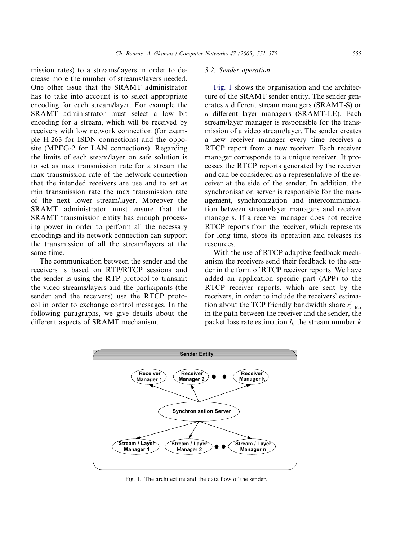<span id="page-4-0"></span>mission rates) to a streams/layers in order to decrease more the number of streams/layers needed. One other issue that the SRAMT administrator has to take into account is to select appropriate encoding for each stream/layer. For example the SRAMT administrator must select a low bit encoding for a stream, which will be received by receivers with low network connection (for example H.263 for ISDN connections) and the opposite (MPEG-2 for LAN connections). Regarding the limits of each steam/layer on safe solution is to set as max transmission rate for a stream the max transmission rate of the network connection that the intended receivers are use and to set as min transmission rate the max transmission rate of the next lower stream/layer. Moreover the SRAMT administrator must ensure that the SRAMT transmission entity has enough processing power in order to perform all the necessary encodings and its network connection can support the transmission of all the stream/layers at the same time.

The communication between the sender and the receivers is based on RTP/RTCP sessions and the sender is using the RTP protocol to transmit the video streams/layers and the participants (the sender and the receivers) use the RTCP protocol in order to exchange control messages. In the following paragraphs, we give details about the different aspects of SRAMT mechanism.

#### 3.2. Sender operation

Fig. 1 shows the organisation and the architecture of the SRAMT sender entity. The sender generates n different stream managers (SRAMT-S) or  $n$  different layer managers (SRAMT-LE). Each stream/layer manager is responsible for the transmission of a video stream/layer. The sender creates a new receiver manager every time receives a RTCP report from a new receiver. Each receiver manager corresponds to a unique receiver. It processes the RTCP reports generated by the receiver and can be considered as a representative of the receiver at the side of the sender. In addition, the synchronisation server is responsible for the management, synchronization and intercommunication between stream/layer managers and receiver managers. If a receiver manager does not receive RTCP reports from the receiver, which represents for long time, stops its operation and releases its resources.

With the use of RTCP adaptive feedback mechanism the receivers send their feedback to the sender in the form of RTCP receiver reports. We have added an application specific part (APP) to the RTCP receiver reports, which are sent by the receivers, in order to include the receivers' estimation about the TCP friendly bandwidth share  $r_{r\text{-tcp}}^i$ in the path between the receiver and the sender, the packet loss rate estimation  $l_i$ , the stream number k



Fig. 1. The architecture and the data flow of the sender.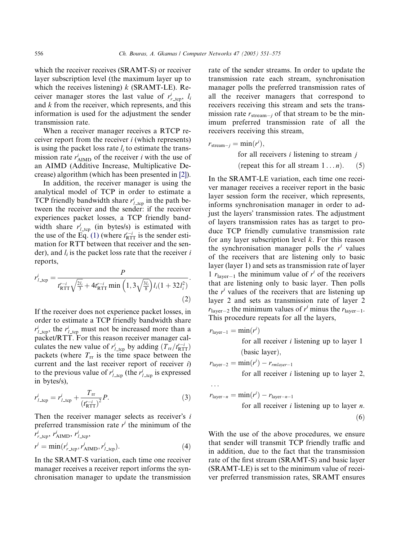which the receiver receives (SRAMT-S) or receiver layer subscription level (the maximum layer up to which the receives listening)  $k$  (SRAMT-LE). Receiver manager stores the last value of  $r_{r\text{-tcp}}^i$ ,  $l_i$ and  $k$  from the receiver, which represents, and this information is used for the adjustment the sender transmission rate.

When a receiver manager receives a RTCP receiver report from the receiver  $i$  (which represents) is using the packet loss rate  $l_i$  to estimate the transmission rate  $r_{\text{AIMD}}^i$  of the receiver *i* with the use of an AIMD (Additive Increase, Multiplicative Decrease) algorithm (which has been presented in [\[2\]\)](#page-23-0).

In addition, the receiver manager is using the analytical model of TCP in order to estimate a TCP friendly bandwidth share  $r_{l_{\text{top}}}^{i}$  in the path between the receiver and the sender: if the receiver experiences packet losses, a TCP friendly bandwidth share  $r_{l_{\text{trop}}}^i$  (in bytes/s) is estimated with the use of the Eq. [\(1\)](#page-3-0) (where  $t_{\text{RTT}}^{r-i}$  is the sender estimation for RTT between that receiver and the sender), and  $l_i$  is the packet loss rate that the receiver i reports,

$$
r_{l\text{-top}}^i = \frac{P}{t_{\text{RTT}}^{r-i} \sqrt{\frac{2l_i}{3} + 4t_{\text{RTT}}^{r-i} \min\left(1, 3\sqrt{\frac{3l_i}{8}}\right)l_i(1+32l_i^2)}.
$$
\n(2)

If the receiver does not experience packet losses, in order to estimate a TCP friendly bandwidth share  $r_{l_{\text{top}}}^i$ , the  $r_{l_{\text{top}}}^i$  must not be increased more than a packet/RTT. For this reason receiver manager calculates the new value of  $r_{l\text{-tcp}}^i$  by adding  $(T_{rr}/t_{\text{RTT}}^{r-i})$ packets (where  $T_{rr}$  is the time space between the current and the last receiver report of receiver  $i$ ) to the previous value of  $r_{l_{\text{-}top}}^i$  (the  $r_{l_{\text{-}top}}^i$  is expressed in bytes/s),

$$
r_{l\text{-}top}^i = r_{l\text{-}top}^i + \frac{T_{rr}}{(t_{\text{RTT}}^{r-i})^2} P.
$$
 (3)

Then the receiver manager selects as receiver's  $i$ preferred transmission rate  $r^i$  the minimum of the  $r_{r\text{-tcp}}^i$ ,  $r_{\text{AIMD}}^i$ ,  $r_{l\text{-tcp}}^i$ ,

$$
r^i = \min(r_{r\text{-}top}^i, r_{\text{AIMD}}^i, r_{l\text{-}top}^i). \tag{4}
$$

In the SRAMT-S variation, each time one receiver manager receives a receiver report informs the synchronisation manager to update the transmission rate of the sender streams. In order to update the transmission rate each stream, synchronisation manager polls the preferred transmission rates of all the receiver managers that correspond to receivers receiving this stream and sets the transmission rate  $r_{\text{stream}-i}$  of that stream to be the minimum preferred transmission rate of all the receivers receiving this stream,

$$
r_{\text{stream}-j} = \min(r^{i}),
$$
  
for all receivers *i* listening to stream *j*  
(repeat this for all stream 1...*n*). (5)

In the SRAMT-LE variation, each time one receiver manager receives a receiver report in the basic layer session form the receiver, which represents, informs synchronisation manager in order to adjust the layers' transmission rates. The adjustment of layers transmission rates has as target to produce TCP friendly cumulative transmission rate for any layer subscription level  $k$ . For this reason the synchronisation manager polls the  $r^i$  values of the receivers that are listening only to basic layer (layer 1) and sets as transmission rate of layer 1  $r_{\text{layer}-1}$  the minimum value of  $r^i$  of the receivers that are listening only to basic layer. Then polls the  $r^i$  values of the receivers that are listening up layer 2 and sets as transmission rate of layer 2  $r_{\text{layer}-2}$  the minimum values of  $r^i$  minus the  $r_{\text{layer}-1}$ . This procedure repeats for all the layers,

$$
r_{\text{layer}-1} = \min(r^{i})
$$
  
for all receiver *i* listening up to layer 1  
(basic layer),  

$$
r_{\text{layer}-2} = \min(r^{i}) - r_{\text{mlayer}-1}
$$

for all receiver  $i$  listening up to layer 2,

$$
\ldots
$$

$$
r_{\text{layer}-n} = \min(r^{i}) - r_{\text{layer}-n-1}
$$
  
for all receiver *i* listening up to layer *n*.

$$
\left( 6\right)
$$

With the use of the above procedures, we ensure that sender will transmit TCP friendly traffic and in addition, due to the fact that the transmission rate of the first stream (SRAMT-S) and basic layer (SRAMT-LE) is set to the minimum value of receiver preferred transmission rates, SRAMT ensures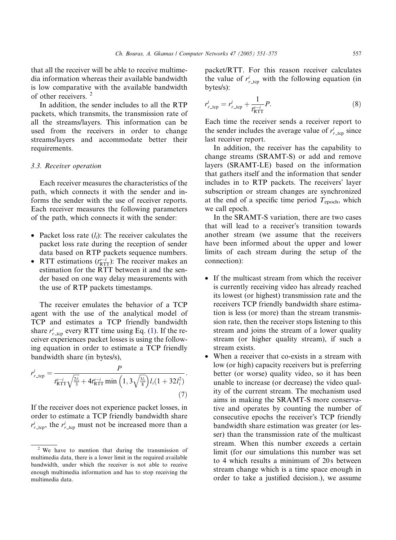that all the receiver will be able to receive multimedia information whereas their available bandwidth is low comparative with the available bandwidth of other receivers. <sup>2</sup>

In addition, the sender includes to all the RTP packets, which transmits, the transmission rate of all the streams/layers. This information can be used from the receivers in order to change streams/layers and accommodate better their requirements.

#### 3.3. Receiver operation

Each receiver measures the characteristics of the path, which connects it with the sender and informs the sender with the use of receiver reports. Each receiver measures the following parameters of the path,which connects it with the sender:

- Packet loss rate  $(l_i)$ : The receiver calculates the packet loss rate during the reception of sender data based on RTP packets sequence numbers.
- RTT estimations  $(t_{\text{RTT}}^{e-i})$ : The receiver makes an estimation for the RTT between it and the sender based on one way delay measurements with the use of RTP packets timestamps.

The receiver emulates the behavior of a TCP agent with the use of the analytical model of TCP and estimates a TCP friendly bandwidth share  $r_{r_{\text{top}}}^i$  every RTT time using Eq. [\(1\).](#page-3-0) If the receiver experiences packet losses is using the following equation in order to estimate a TCP friendly bandwidth share (in bytes/s),

$$
r_{r\text{_-top}}^i = \frac{P}{t_{\text{RTT}}^{e-i} \sqrt{\frac{2l_i}{3} + 4t_{\text{RTT}}^{e-i} \min\left(1, 3\sqrt{\frac{3l_i}{8}}\right)l_i(1+32l_i^2)}}.
$$
\n(7)

If the receiver does not experience packet losses, in order to estimate a TCP friendly bandwidth share  $r_{r \text{-top}}^i$ , the  $r_{r \text{-top}}^i$  must not be increased more than a

packet/RTT. For this reason receiver calculates the value of  $r_{\text{r-top}}^i$  with the following equation (in bytes/s):

$$
r_{r\text{\_top}}^i = r_{r\text{\_top}}^i + \frac{1}{t_{\text{RTT}}^{e-i}} P. \tag{8}
$$

Each time the receiver sends a receiver report to the sender includes the average value of  $r_{r\text{-top}}^i$  since last receiver report.

In addition, the receiver has the capability to change streams (SRAMT-S) or add and remove layers (SRAMT-LE) based on the information that gathers itself and the information that sender includes in to RTP packets. The receivers' layer subscription or stream changes are synchronized at the end of a specific time period  $T_{\text{epoch}}$ , which we call epoch.

In the SRAMT-S variation, there are two cases that will lead to a receiver's transition towards another stream (we assume that the receivers have been informed about the upper and lower limits of each stream during the setup of the connection):

- If the multicast stream from which the receiver is currently receiving video has already reached its lowest (or highest) transmission rate and the receivers TCP friendly bandwidth share estimation is less (or more) than the stream transmission rate, then the receiver stops listening to this stream and joins the stream of a lower quality stream (or higher quality stream), if such a stream exists.
- When a receiver that co-exists in a stream with low (or high) capacity receivers but is preferring better (or worse) quality video, so it has been unable to increase (or decrease) the video quality of the current stream. The mechanism used aims in making the SRAMT-S more conservative and operates by counting the number of consecutive epochs the receiver's TCP friendly bandwidth share estimation was greater (or lesser) than the transmission rate of the multicast stream. When this number exceeds a certain limit (for our simulations this number was set to 4 which results a minimum of 20s between stream change which is a time space enough in order to take a justified decision.), we assume

 $2$  We have to mention that during the transmission of multimedia data, there is a lower limit in the required available bandwidth, under which the receiver is not able to receive enough multimedia information and has to stop receiving the multimedia data.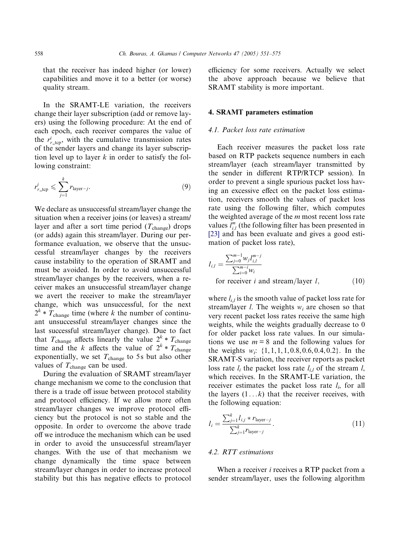that the receiver has indeed higher (or lower) capabilities and move it to a better (or worse) quality stream.

In the SRAMT-LE variation, the receivers change their layer subscription (add or remove layers) using the following procedure: At the end of each epoch, each receiver compares the value of the  $r_{r\text{-top}}^i$ , with the cumulative transmission rates of the sender layers and change its layer subscription level up to layer  $k$  in order to satisfy the following constraint:

$$
r_{r\text{\_top}}^i \leqslant \sum_{j=1}^k r_{\text{layer}-j}.\tag{9}
$$

We declare as unsuccessful stream/layer change the situation when a receiver joins (or leaves) a stream/ layer and after a sort time period  $(T_{change})$  drops (or adds) again this stream/layer. During our performance evaluation, we observe that the unsuccessful stream/layer changes by the receivers cause instability to the operation of SRAMT and must be avoided. In order to avoid unsuccessful stream/layer changes by the receivers, when a receiver makes an unsuccessful stream/layer change we avert the receiver to make the stream/layer change, which was unsuccessful, for the next  $2^k$  \*  $T_{\text{change}}$  time (where k the number of continuant unsuccessful stream/layer changes since the last successful stream/layer change). Due to fact that  $T_{\text{change}}$  affects linearly the value  $2^k$  \*  $T_{\text{change}}$ time and the k affects the value of  $2^k * T_{change}$ exponentially, we set  $T_{change}$  to 5s but also other values of  $T_{change}$  can be used.

During the evaluation of SRAMT stream/layer change mechanism we come to the conclusion that there is a trade off issue between protocol stability and protocol efficiency. If we allow more often stream/layer changes we improve protocol efficiency but the protocol is not so stable and the opposite. In order to overcome the above trade off we introduce the mechanism which can be used in order to avoid the unsuccessful stream/layer changes. With the use of that mechanism we change dynamically the time space between stream/layer changes in order to increase protocol stability but this has negative effects to protocol efficiency for some receivers. Actually we select the above approach because we believe that SRAMT stability is more important.

#### 4. SRAMT parameters estimation

#### 4.1. Packet loss rate estimation

Each receiver measures the packet loss rate based on RTP packets sequence numbers in each stream/layer (each stream/layer transmitted by the sender in different RTP/RTCP session). In order to prevent a single spurious packet loss having an excessive effect on the packet loss estimation, receivers smooth the values of packet loss rate using the following filter, which computes the weighted average of the  $m$  most recent loss rate values  $l_{i,l}^m$  (the following filter has been presented in [\[23\]](#page-24-0) and has been evaluate and gives a good estimation of packet loss rate),

$$
l_{i,l} = \frac{\sum_{j=0}^{m-1} w_j l_{i,l}^{m-j}}{\sum_{i=0}^{m-i} w_i}
$$
  
for receiver *i* and stream/layer *l*, (10)

where  $l_{i,l}$  is the smooth value of packet loss rate for stream/layer *l*. The weights  $w_i$  are chosen so that very recent packet loss rates receive the same high weights, while the weights gradually decrease to 0 for older packet loss rate values. In our simulations we use  $m = 8$  and the following values for the weights  $w_i$ : {1,1,1,1,0.8,0.6,0.4,0.2}. In the SRAMT-S variation, the receiver reports as packet loss rate  $l_i$  the packet loss rate  $l_{i,l}$  of the stream l, which receives. In the SRAMT-LE variation, the receiver estimates the packet loss rate  $l_i$ , for all the layers  $(1...k)$  that the receiver receives, with the following equation:

$$
l_{i} = \frac{\sum_{j=1}^{k} l_{i,j} * r_{\text{layer}-j}}{\sum_{j=1}^{k} r_{\text{layer}-j}}.
$$
\n(11)

## 4.2. RTT estimations

When a receiver *i* receives a RTP packet from a sender stream/layer, uses the following algorithm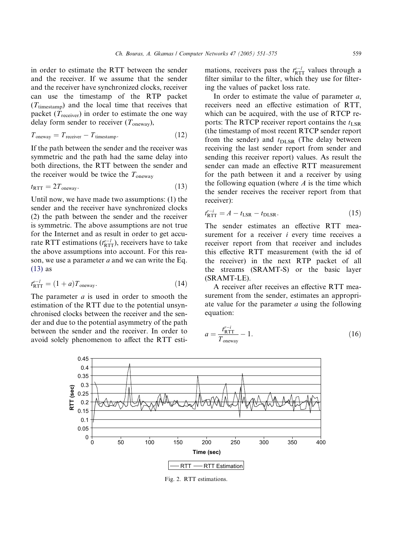<span id="page-8-0"></span>in order to estimate the RTT between the sender and the receiver. If we assume that the sender and the receiver have synchronized clocks, receiver can use the timestamp of the RTP packet  $(T_{\text{timesteps}})$  and the local time that receives that packet  $(T_{\text{receiver}})$  in order to estimate the one way delay form sender to receiver  $(T_{\text{oneway}})$ ,

$$
T_{\text{oneway}} = T_{\text{receiver}} - T_{\text{timestamp}}.\tag{12}
$$

If the path between the sender and the receiver was symmetric and the path had the same delay into both directions, the RTT between the sender and the receiver would be twice the  $T_{\text{oneway}}$ 

$$
t_{\text{RTT}} = 2T_{\text{oneway}}.\tag{13}
$$

Until now, we have made two assumptions: (1) the sender and the receiver have synchronized clocks (2) the path between the sender and the receiver is symmetric. The above assumptions are not true for the Internet and as result in order to get accurate RTT estimations ( $t_{\text{RTT}}^{e-l}$ ), receivers have to take the above assumptions into account. For this reason, we use a parameter a and we can write the Eq. (13) as

$$
t_{\text{RTT}}^{e-l} = (1+a)T_{\text{oneway}}.\tag{14}
$$

The parameter a is used in order to smooth the estimation of the RTT due to the potential unsynchronised clocks between the receiver and the sender and due to the potential asymmetry of the path between the sender and the receiver. In order to avoid solely phenomenon to affect the RTT esti-

mations, receivers pass the  $t_{\text{RTT}}^{e-l}$  values through a filter similar to the filter, which they use for filtering the values of packet loss rate.

In order to estimate the value of parameter  $a$ , receivers need an effective estimation of RTT, which can be acquired, with the use of RTCP reports: The RTCP receiver report contains the  $t_{LSR}$ (the timestamp of most recent RTCP sender report from the sender) and  $t_{\text{DLSR}}$  (The delay between receiving the last sender report from sender and sending this receiver report) values. As result the sender can made an effective RTT measurement for the path between it and a receiver by using the following equation (where  $A$  is the time which the sender receives the receiver report from that receiver):

$$
t_{\text{RTT}}^{r-i} = A - t_{\text{LSR}} - t_{\text{DLSR}}.\tag{15}
$$

The sender estimates an effective RTT measurement for a receiver  $i$  every time receives a receiver report from that receiver and includes this effective RTT measurement (with the id of the receiver) in the next RTP packet of all the streams (SRAMT-S) or the basic layer (SRAMT-LE).

A receiver after receives an effective RTT measurement from the sender, estimates an appropriate value for the parameter  $a$  using the following equation:

$$
a = \frac{t_{\text{RTT}}^{r-i}}{T_{\text{oneway}}} - 1.
$$
 (16)



Fig. 2. RTT estimations.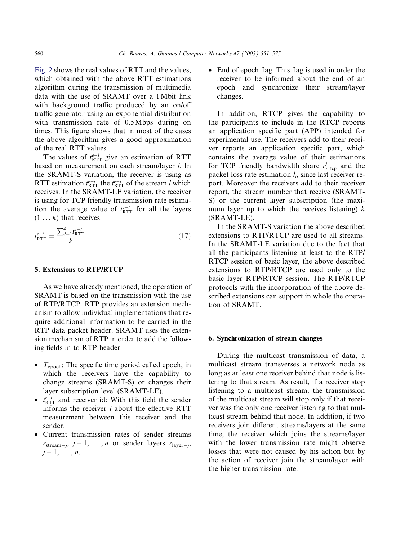[Fig. 2](#page-8-0) shows the real values of RTT and the values, which obtained with the above RTT estimations algorithm during the transmission of multimedia data with the use of SRAMT over a 1Mbit link with background traffic produced by an on/off traffic generator using an exponential distribution with transmission rate of 0.5Mbps during on times. This figure shows that in most of the cases the above algorithm gives a good approximation of the real RTT values.

The values of  $t_{\text{RTT}}^{e-l}$  give an estimation of RTT based on measurement on each stream/layer l. In the SRAMT-S variation, the receiver is using as RTT estimation  $t_{\text{RTT}}^{e-i}$  the  $t_{\text{RTT}}^{e-l}$  of the stream l which receives. In the SRAMT-LE variation, the receiver is using for TCP friendly transmission rate estimation the average value of  $t_{\text{RTT}}^{e-l}$  for all the layers  $(1 \dots k)$  that receives:

$$
t_{\text{RTT}}^{e-i} = \frac{\sum_{l=1}^{k} t_{\text{RTT}}^{e-l}}{k}.
$$
 (17)

#### 5. Extensions to RTP/RTCP

As we have already mentioned, the operation of SRAMT is based on the transmission with the use of RTP/RTCP. RTP provides an extension mechanism to allow individual implementations that require additional information to be carried in the RTP data packet header. SRAMT uses the extension mechanism of RTP in order to add the following fields in to RTP header:

- $T_{\text{epoch}}$ : The specific time period called epoch, in which the receivers have the capability to change streams (SRAMT-S) or changes their layer subscription level (SRAMT-LE).
- $t_{\text{RTT}}^{r-i}$  and receiver id: With this field the sender informs the receiver  $i$  about the effective RTT measurement between this receiver and the sender.
- Current transmission rates of sender streams  $r_{\text{stream}-j}$ ,  $j = 1, \ldots, n$  or sender layers  $r_{\text{layer}-j}$ ,  $i = 1, \ldots, n$ .

• End of epoch flag: This flag is used in order the receiver to be informed about the end of an epoch and synchronize their stream/layer changes.

In addition, RTCP gives the capability to the participants to include in the RTCP reports an application specific part (APP) intended for experimental use. The receivers add to their receiver reports an application specific part, which contains the average value of their estimations for TCP friendly bandwidth share  $r_{r\text{-tcp}}^i$  and the packet loss rate estimation  $l_i$ , since last receiver report. Moreover the receivers add to their receiver report, the stream number that receive (SRAMT-S) or the current layer subscription (the maximum layer up to which the receives listening)  $k$ (SRAMT-LE).

In the SRAMT-S variation the above described extensions to RTP/RTCP are used to all streams. In the SRAMT-LE variation due to the fact that all the participants listening at least to the RTP/ RTCP session of basic layer, the above described extensions to RTP/RTCP are used only to the basic layer RTP/RTCP session. The RTP/RTCP protocols with the incorporation of the above described extensions can support in whole the operation of SRAMT.

#### 6. Synchronization of stream changes

During the multicast transmission of data, a multicast stream transverses a network node as long as at least one receiver behind that node is listening to that stream. As result, if a receiver stop listening to a multicast stream, the transmission of the multicast stream will stop only if that receiver was the only one receiver listening to that multicast stream behind that node. In addition, if two receivers join different streams/layers at the same time, the receiver which joins the streams/layer with the lower transmission rate might observe losses that were not caused by his action but by the action of receiver join the stream/layer with the higher transmission rate.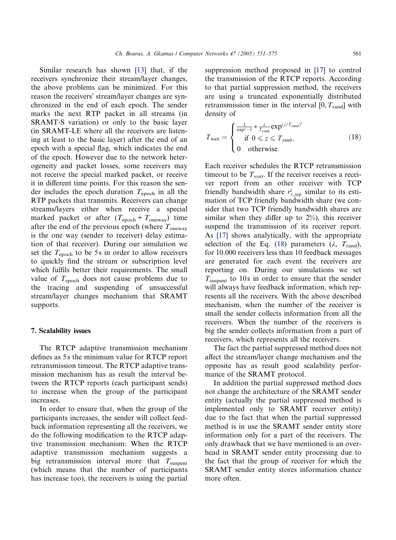Similar research has shown [\[13\]](#page-23-0) that, if the receivers synchronize their stream/layer changes, the above problems can be minimized. For this reason the receivers' stream/layer changes are synchronized in the end of each epoch. The sender marks the next RTP packet in all streams (in SRAMT-S variation) or only to the basic layer (in SRAMT-LE where all the receivers are listening at least to the basic layer) after the end of an epoch with a special flag, which indicates the end of the epoch. However due to the network heterogeneity and packet losses, some receivers may not receive the special marked packet, or receive it in different time points. For this reason the sender includes the epoch duration  $T_{\text{epoch}}$  in all the RTP packets that transmits. Receivers can change streams/layers either when receive a special marked packet or after  $(T_{\text{epoch}} + T_{\text{oneway}})$  time after the end of the previous epoch (where  $T_{\text{oneway}}$ is the one way (sender to receiver) delay estimation of that receiver). During our simulation we set the  $T_{\text{epoch}}$  to be 5s in order to allow receivers to quickly find the stream or subscription level which fulfils better their requirements. The small value of  $T_{\text{epoch}}$  does not cause problems due to the tracing and suspending of unsuccessful stream/layer changes mechanism that SRAMT supports.

#### 7. Scalability issues

The RTCP adaptive transmission mechanism defines as 5s the minimum value for RTCP report retransmission timeout. The RTCP adaptive transmission mechanism has as result the interval between the RTCP reports (each participant sends) to increase when the group of the participant increases.

In order to ensure that, when the group of the participants increases, the sender will collect feedback information representing all the receivers, we do the following modification to the RTCP adaptive transmission mechanism: When the RTCP adaptive transmission mechanism suggests a big retransmission interval more that  $T_{\text{susent}}$ (which means that the number of participants has increase too), the receivers is using the partial

suppression method proposed in [\[17\]](#page-24-0) to control the transmission of the RTCP reports. According to that partial suppression method, the receivers are using a truncated exponentially distributed retransmission timer in the interval  $[0, T_{rand}]$  with density of

$$
T_{\text{wait}} = \begin{cases} \frac{1}{\exp^{\lambda} - 1} * \frac{\lambda}{T_{\text{rand}}} \exp^{(\lambda/T_{\text{rand}})^{z}}\\ \text{if } 0 \leq z \leq T_{\text{rand}},\\ 0 \quad \text{otherwise.} \end{cases}
$$
(18)

Each receiver schedules the RTCP retransmission timeout to be  $T_{wait}$ . If the receiver receives a receiver report from an other receiver with TCP friendly bandwidth share  $r_{r\text{-}top}}^{i}$  similar to its estimation of TCP friendly bandwidth share (we consider that two TCP friendly bandwidth shares are similar when they differ up to  $2\%$ ), this receiver suspend the transmission of its receiver report. As [\[17\]](#page-24-0) shows analytically, with the appropriate selection of the Eq. (18) parameters ( $\lambda$ ,  $T_{\text{rand}}$ ), for 10.000 receivers less than 10 feedback messages are generated for each event the receivers are reporting on. During our simulations we set  $T_{\text{suspent}}$  to 10s in order to ensure that the sender will always have feedback information, which represents all the receivers. With the above described mechanism, when the number of the receiver is small the sender collects information from all the receivers. When the number of the receivers is big the sender collects information from a part of receivers, which represents all the receivers.

The fact the partial suppressed method does not affect the stream/layer change mechanism and the opposite has as result good scalability performance of the SRAMT protocol.

In addition the partial suppressed method does not change the architecture of the SRAMT sender entity (actually the partial suppressed method is implemented only to SRAMT receiver entity) due to the fact that when the partial suppressed method is in use the SRAMT sender entity store information only for a part of the receivers. The only drawback that we have mentioned is an overhead in SRAMT sender entity processing due to the fact that the group of receiver for which the SRAMT sender entity stores information chance more often.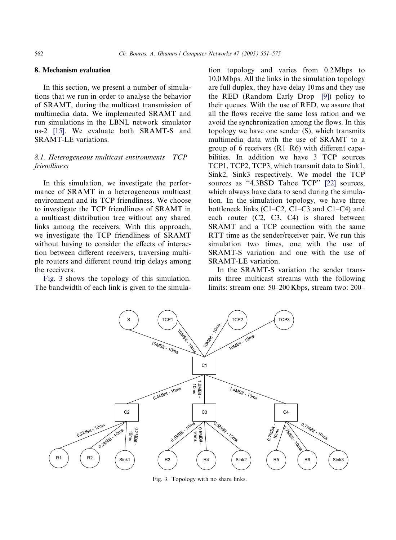#### <span id="page-11-0"></span>8. Mechanism evaluation

In this section, we present a number of simulations that we run in order to analyse the behavior of SRAMT, during the multicast transmission of multimedia data. We implemented SRAMT and run simulations in the LBNL network simulator ns-2 [\[15\]](#page-24-0). We evaluate both SRAMT-S and SRAMT-LE variations.

## 8.1. Heterogeneous multicast environments—TCP friendliness

In this simulation, we investigate the performance of SRAMT in a heterogeneous multicast environment and its TCP friendliness. We choose to investigate the TCP friendliness of SRAMT in a multicast distribution tree without any shared links among the receivers. With this approach, we investigate the TCP friendliness of SRAMT without having to consider the effects of interaction between different receivers, traversing multiple routers and different round trip delays among the receivers.

Fig. 3 shows the topology of this simulation. The bandwidth of each link is given to the simulation topology and varies from 0.2Mbps to 10.0Mbps. All the links in the simulation topology are full duplex, they have delay 10ms and they use the RED (Random Early Drop—[\[9\]](#page-23-0)) policy to their queues. With the use of RED, we assure that all the flows receive the same loss ration and we avoid the synchronization among the flows. In this topology we have one sender (S), which transmits multimedia data with the use of SRAMT to a group of 6 receivers (R1–R6) with different capabilities. In addition we have 3 TCP sources TCP1, TCP2, TCP3, which transmit data to Sink1, Sink2, Sink3 respectively. We model the TCP sources as "4.3BSD Tahoe TCP" [\[22\]](#page-24-0) sources, which always have data to send during the simulation. In the simulation topology, we have three bottleneck links  $(C1-C2, C1-C3$  and  $C1-C4$ ) and each router  $(C2, C3, C4)$  is shared between SRAMT and a TCP connection with the same RTT time as the sender/receiver pair. We run this simulation two times, one with the use of SRAMT-S variation and one with the use of SRAMT-LE variation.

In the SRAMT-S variation the sender transmits three multicast streams with the following limits: stream one: 50–200 Kbps, stream two: 200–



Fig. 3. Topology with no share links.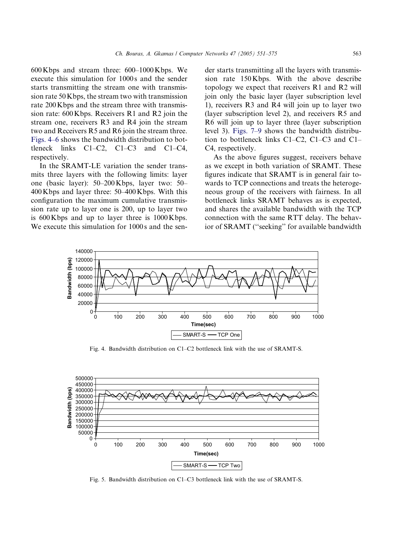600Kbps and stream three: 600–1000Kbps. We execute this simulation for 1000s and the sender starts transmitting the stream one with transmission rate  $50$  Kbps, the stream two with transmission rate 200Kbps and the stream three with transmission rate: 600Kbps. Receivers R1 and R2 join the stream one, receivers R3 and R4 join the stream two and Receivers R5 and R6 join the stream three. Figs. 4–6 shows the bandwidth distribution to bottleneck links  $C1-C2$ ,  $C1-C3$  and  $C1-C4$ , respectively.

In the SRAMT-LE variation the sender transmits three layers with the following limits: layer one (basic layer): 50–200 Kbps, layer two: 50– 400Kbps and layer three: 50–400Kbps. With this configuration the maximum cumulative transmission rate up to layer one is 200, up to layer two is 600Kbps and up to layer three is 1000Kbps. We execute this simulation for 1000s and the sender starts transmitting all the layers with transmission rate 150Kbps. With the above describe topology we expect that receivers R1 and R2 will join only the basic layer (layer subscription level 1), receivers R3 and R4 will join up to layer two (layer subscription level 2), and receivers  $R5$  and R6 will join up to layer three (layer subscription level 3). [Figs. 7–9](#page-13-0) shows the bandwidth distribution to bottleneck links  $C1-C2$ ,  $C1-C3$  and  $C1-$ C4, respectively.

As the above figures suggest, receivers behave as we except in both variation of SRAMT. These figures indicate that SRAMT is in general fair towards to TCP connections and treats the heterogeneous group of the receivers with fairness. In all bottleneck links SRAMT behaves as is expected, and shares the available bandwidth with the TCP connection with the same RTT delay. The behavior of SRAMT (''seeking'' for available bandwidth



Fig. 4. Bandwidth distribution on C1–C2 bottleneck link with the use of SRAMT-S.



Fig. 5. Bandwidth distribution on C1–C3 bottleneck link with the use of SRAMT-S.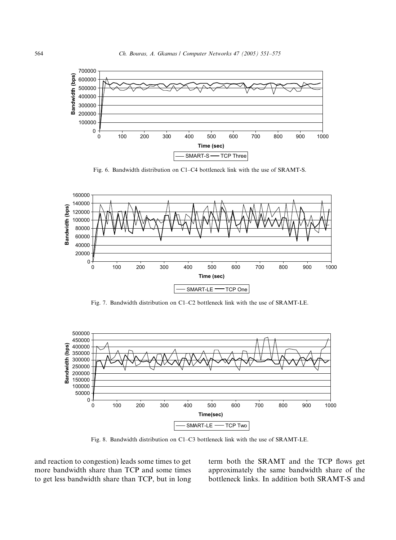<span id="page-13-0"></span>

Fig. 6. Bandwidth distribution on C1–C4 bottleneck link with the use of SRAMT-S.



Fig. 7. Bandwidth distribution on C1–C2 bottleneck link with the use of SRAMT-LE.



Fig. 8. Bandwidth distribution on C1–C3 bottleneck link with the use of SRAMT-LE.

and reaction to congestion) leads some times to get more bandwidth share than TCP and some times to get less bandwidth share than TCP, but in long term both the SRAMT and the TCP flows get approximately the same bandwidth share of the bottleneck links. In addition both SRAMT-S and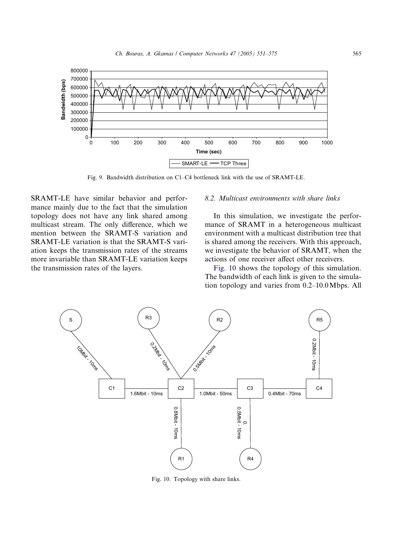<span id="page-14-0"></span>

Fig. 9. Bandwidth distribution on C1–C4 bottleneck link with the use of SRAMT-LE.

SRAMT-LE have similar behavior and performance mainly due to the fact that the simulation topology does not have any link shared among multicast stream. The only difference, which we mention between the SRAMT-S variation and SRAMT-LE variation is that the SRAMT-S variation keeps the transmission rates of the streams more invariable than SRAMT-LE variation keeps the transmission rates of the layers.

#### 8.2. Multicast environments with share links

In this simulation, we investigate the performance of SRAMT in a heterogeneous multicast environment with a multicast distribution tree that is shared among the receivers. With this approach, we investigate the behavior of SRAMT, when the actions of one receiver affect other receivers.

Fig. 10 shows the topology of this simulation. The bandwidth of each link is given to the simulation topology and varies from 0.2–10.0Mbps. All



Fig. 10. Topology with share links.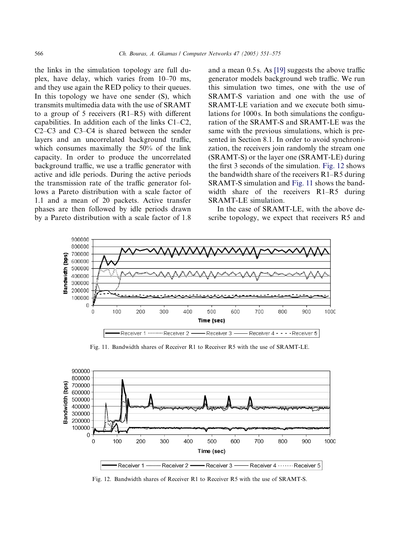<span id="page-15-0"></span>the links in the simulation topology are full duplex, have delay, which varies from 10–70 ms, and they use again the RED policy to their queues. In this topology we have one sender  $(S)$ , which transmits multimedia data with the use of SRAMT to a group of 5 receivers (R1–R5) with different capabilities. In addition each of the links C1–C2, C2–C3 and C3–C4 is shared between the sender layers and an uncorrelated background traffic, which consumes maximally the 50% of the link capacity. In order to produce the uncorrelated background traffic, we use a traffic generator with active and idle periods. During the active periods the transmission rate of the traffic generator follows a Pareto distribution with a scale factor of 1.1 and a mean of 20 packets. Active transfer phases are then followed by idle periods drawn by a Pareto distribution with a scale factor of 1.8

and a mean 0.5 s. As [\[19\]](#page-24-0) suggests the above traffic generator models background web traffic. We run this simulation two times, one with the use of SRAMT-S variation and one with the use of SRAMT-LE variation and we execute both simulations for 1000 s. In both simulations the configuration of the SRAMT-S and SRAMT-LE was the same with the previous simulations, which is presented in Section 8.1. In order to avoid synchronization, the receivers join randomly the stream one (SRAMT-S) or the layer one (SRAMT-LE) during the first 3 seconds of the simulation. Fig. 12 shows the bandwidth share of the receivers R1–R5 during SRAMT-S simulation and Fig. 11 shows the bandwidth share of the receivers R1–R5 during SRAMT-LE simulation.

In the case of SRAMT-LE, with the above describe topology, we expect that receivers R5 and



Fig. 11. Bandwidth shares of Receiver R1 to Receiver R5 with the use of SRAMT-LE.



Fig. 12. Bandwidth shares of Receiver R1 to Receiver R5 with the use of SRAMT-S.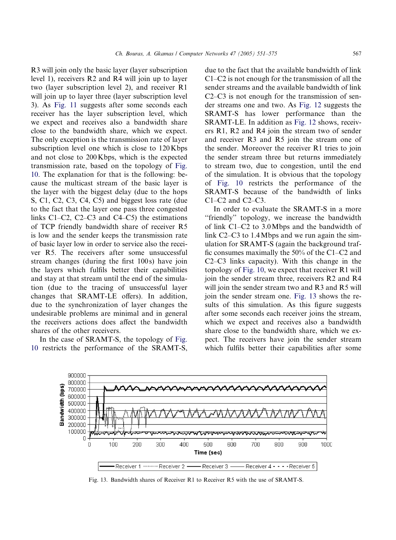R3 will join only the basic layer (layer subscription level 1), receivers  $R2$  and  $R4$  will join up to layer two (layer subscription level 2), and receiver  $R1$ will join up to layer three (layer subscription level 3). As [Fig. 11](#page-15-0) suggests after some seconds each receiver has the layer subscription level, which we expect and receives also a bandwidth share close to the bandwidth share, which we expect. The only exception is the transmission rate of layer subscription level one which is close to  $120$  Kbps and not close to 200 Kbps, which is the expected transmission rate, based on the topology of [Fig.](#page-14-0) [10](#page-14-0). The explanation for that is the following: because the multicast stream of the basic layer is the layer with the biggest delay (due to the hops S, C1, C2, C3, C4, C5) and biggest loss rate (due to the fact that the layer one pass three congested links  $C1-C2$ ,  $C2-C3$  and  $C4-C5$ ) the estimations of TCP friendly bandwidth share of receiver R5 is low and the sender keeps the transmission rate of basic layer low in order to service also the receiver R5. The receivers after some unsuccessful stream changes (during the first 100s) have join the layers which fulfils better their capabilities and stay at that stream until the end of the simulation (due to the tracing of unsuccessful layer changes that SRAMT-LE offers). In addition, due to the synchronization of layer changes the undesirable problems are minimal and in general the receivers actions does affect the bandwidth shares of the other receivers.

In the case of SRAMT-S, the topology of [Fig.](#page-14-0) [10](#page-14-0) restricts the performance of the SRAMT-S, due to the fact that the available bandwidth of link C1–C2 is not enough for the transmission of all the sender streams and the available bandwidth of link C2–C3 is not enough for the transmission of sender streams one and two. As [Fig. 12](#page-15-0) suggests the SRAMT-S has lower performance than the SRAMT-LE. In addition as [Fig. 12](#page-15-0) shows, receivers R1,R2 and R4 join the stream two of sender and receiver R3 and R5 join the stream one of the sender. Moreover the receiver R1 tries to join the sender stream three but returns immediately to stream two, due to congestion, until the end of the simulation. It is obvious that the topology of [Fig. 10](#page-14-0) restricts the performance of the SRAMT-S because of the bandwidth of links  $C1-C2$  and  $C2-C3$ .

In order to evaluate the SRAMT-S in a more "friendly" topology, we increase the bandwidth of link C1–C2 to 3.0Mbps and the bandwidth of link C2–C3 to 1.4Mbps and we run again the simulation for SRAMT-S (again the background traffic consumes maximally the 50% of the C1–C2 and C2–C3 links capacity). With this change in the topology of Fig.  $10$ , we expect that receiver R1 will join the sender stream three, receivers R2 and R4 will join the sender stream two and R3 and R5 will join the sender stream one. Fig. 13 shows the results of this simulation. As this figure suggests after some seconds each receiver joins the stream, which we expect and receives also a bandwidth share close to the bandwidth share, which we expect. The receivers have join the sender stream which fulfils better their capabilities after some



Fig. 13. Bandwidth shares of Receiver R1 to Receiver R5 with the use of SRAMT-S.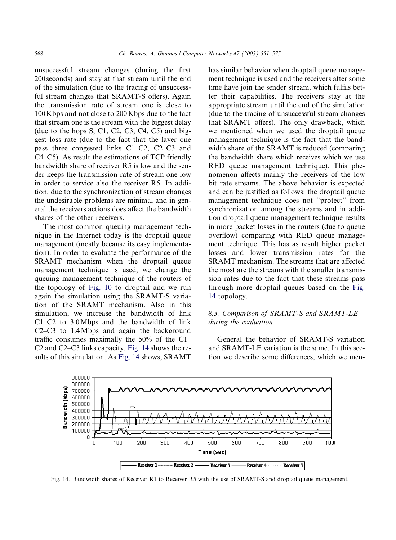unsuccessful stream changes (during the first 200 seconds) and stay at that stream until the end of the simulation (due to the tracing of unsuccessful stream changes that SRAMT-S offers). Again the transmission rate of stream one is close to 100Kbps and not close to 200Kbps due to the fact that stream one is the stream with the biggest delay (due to the hops S, C1, C2, C3, C4, C5) and biggest loss rate (due to the fact that the layer one pass three congested links C1–C2, C2–C3 and C4–C5). As result the estimations of TCP friendly bandwidth share of receiver R5 is low and the sender keeps the transmission rate of stream one low in order to service also the receiver R5. In addition, due to the synchronization of stream changes the undesirable problems are minimal and in general the receivers actions does affect the bandwidth shares of the other receivers.

The most common queuing management technique in the Internet today is the droptail queue management (mostly because its easy implementation). In order to evaluate the performance of the SRAMT mechanism when the droptail queue management technique is used, we change the queuing management technique of the routers of the topology of [Fig. 10](#page-14-0) to droptail and we run again the simulation using the SRAMT-S variation of the SRAMT mechanism. Also in this simulation, we increase the bandwidth of link C1–C2 to 3.0Mbps and the bandwidth of link C2–C3 to 1.4Mbps and again the background traffic consumes maximally the 50% of the C1– C2 and C2–C3 links capacity. Fig. 14 shows the results of this simulation. As Fig. 14 shows, SRAMT has similar behavior when droptail queue management technique is used and the receivers after some time have join the sender stream, which fulfils better their capabilities. The receivers stay at the appropriate stream until the end of the simulation (due to the tracing of unsuccessful stream changes that SRAMT offers). The only drawback, which we mentioned when we used the droptail queue management technique is the fact that the bandwidth share of the SRAMT is reduced (comparing the bandwidth share which receives which we use RED queue management technique). This phenomenon affects mainly the receivers of the low bit rate streams. The above behavior is expected and can be justified as follows: the droptail queue management technique does not ''protect'' from synchronization among the streams and in addition droptail queue management technique results in more packet losses in the routers (due to queue overflow) comparing with RED queue management technique. This has as result higher packet losses and lower transmission rates for the SRAMT mechanism. The streams that are affected the most are the streams with the smaller transmission rates due to the fact that these streams pass through more droptail queues based on the Fig. 14 topology.

## 8.3. Comparison of SRAMT-S and SRAMT-LE during the evaluation

General the behavior of SRAMT-S variation and SRAMT-LE variation is the same. In this section we describe some differences, which we men-



Fig. 14. Bandwidth shares of Receiver R1 to Receiver R5 with the use of SRAMT-S and droptail queue management.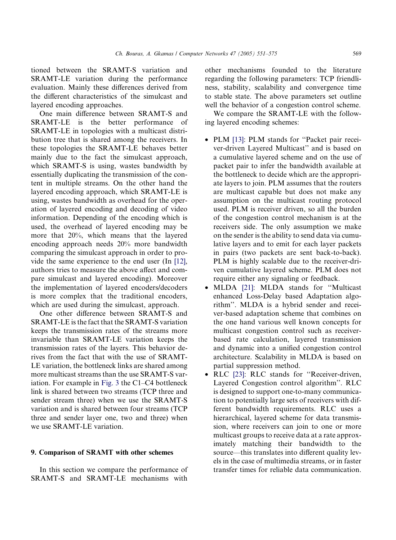tioned between the SRAMT-S variation and SRAMT-LE variation during the performance evaluation. Mainly these differences derived from the different characteristics of the simulcast and layered encoding approaches.

One main difference between SRAMT-S and SRAMT-LE is the better performance of SRAMT-LE in topologies with a multicast distribution tree that is shared among the receivers. In these topologies the SRAMT-LE behaves better mainly due to the fact the simulcast approach, which SRAMT-S is using, wastes bandwidth by essentially duplicating the transmission of the content in multiple streams. On the other hand the layered encoding approach, which SRAMT-LE is using, wastes bandwidth as overhead for the operation of layered encoding and decoding of video information. Depending of the encoding which is used, the overhead of layered encoding may be more that  $20\%$ , which means that the layered encoding approach needs 20% more bandwidth comparing the simulcast approach in order to provide the same experience to the end user (In [\[12\]](#page-23-0), authors tries to measure the above affect and compare simulcast and layered encoding). Moreover the implementation of layered encoders/decoders is more complex that the traditional encoders, which are used during the simulcast, approach.

One other difference between SRAMT-S and SRAMT-LE is the fact that the SRAMT-S variation keeps the transmission rates of the streams more invariable than SRAMT-LE variation keeps the transmission rates of the layers. This behavior derives from the fact that with the use of SRAMT-LE variation, the bottleneck links are shared among more multicast streams than the use SRAMT-S variation. For example in [Fig. 3](#page-11-0) the C1–C4 bottleneck link is shared between two streams (TCP three and sender stream three) when we use the SRAMT-S variation and is shared between four streams (TCP three and sender layer one, two and three) when we use SRAMT-LE variation.

#### 9. Comparison of SRAMT with other schemes

In this section we compare the performance of SRAMT-S and SRAMT-LE mechanisms with

other mechanisms founded to the literature regarding the following parameters: TCP friendliness, stability, scalability and convergence time to stable state. The above parameters set outline well the behavior of a congestion control scheme.

We compare the SRAMT-LE with the following layered encoding schemes:

- PLM [\[13\]](#page-23-0): PLM stands for ''Packet pair receiver-driven Layered Multicast'' and is based on a cumulative layered scheme and on the use of packet pair to infer the bandwidth available at the bottleneck to decide which are the appropriate layers to join. PLM assumes that the routers are multicast capable but does not make any assumption on the multicast routing protocol used. PLM is receiver driven, so all the burden of the congestion control mechanism is at the receivers side. The only assumption we make on the sender is the ability to send data via cumulative layers and to emit for each layer packets in pairs (two packets are sent back-to-back). PLM is highly scalable due to the receiver-driven cumulative layered scheme. PLM does not require either any signaling or feedback.
- MLDA [\[21\]](#page-24-0): MLDA stands for ''Multicast enhanced Loss-Delay based Adaptation algorithm''. MLDA is a hybrid sender and receiver-based adaptation scheme that combines on the one hand various well known concepts for multicast congestion control such as receiverbased rate calculation, layered transmission and dynamic into a unified congestion control architecture. Scalability in MLDA is based on partial suppression method.
- RLC [\[23\]:](#page-24-0) RLC stands for ''Receiver-driven, Layered Congestion control algorithm''. RLC is designed to support one-to-many communication to potentially large sets of receivers with different bandwidth requirements. RLC uses a hierarchical, layered scheme for data transmission, where receivers can join to one or more multicast groups to receive data at a rate approximately matching their bandwidth to the source—this translates into different quality levels in the case of multimedia streams, or in faster transfer times for reliable data communication.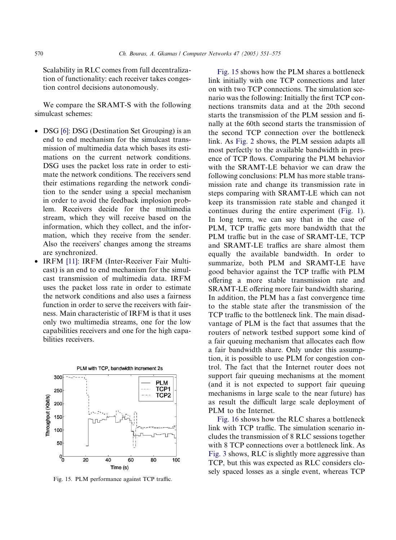Scalability in RLC comes from full decentralization of functionality: each receiver takes congestion control decisions autonomously.

We compare the SRAMT-S with the following simulcast schemes:

- DSG [\[6\]:](#page-23-0) DSG (Destination Set Grouping) is an end to end mechanism for the simulcast transmission of multimedia data which bases its estimations on the current network conditions. DSG uses the packet loss rate in order to estimate the network conditions. The receivers send their estimations regarding the network condition to the sender using a special mechanism in order to avoid the feedback implosion problem. Receivers decide for the multimedia stream, which they will receive based on the information, which they collect, and the information, which they receive from the sender. Also the receivers' changes among the streams are synchronized.
- IRFM [\[11\]](#page-23-0): IRFM (Inter-Receiver Fair Multicast) is an end to end mechanism for the simulcast transmission of multimedia data. IRFM uses the packet loss rate in order to estimate the network conditions and also uses a fairness function in order to serve the receivers with fairness. Main characteristic of IRFM is that it uses only two multimedia streams, one for the low capabilities receivers and one for the high capabilities receivers.



Fig. 15. PLM performance against TCP traffic.

Fig. 15 shows how the PLM shares a bottleneck link initially with one TCP connections and later on with two TCP connections. The simulation scenario was the following: Initially the first TCP connections transmits data and at the 20th second starts the transmission of the PLM session and finally at the 60th second starts the transmission of the second TCP connection over the bottleneck link. As [Fig. 2](#page-8-0) shows, the PLM session adapts all most perfectly to the available bandwidth in presence of TCP flows. Comparing the PLM behavior with the SRAMT-LE behavior we can draw the following conclusions: PLM has more stable transmission rate and change its transmission rate in steps comparing with SRAMT-LE which can not keep its transmission rate stable and changed it continues during the entire experiment ([Fig. 1\)](#page-4-0). In long term, we can say that in the case of PLM, TCP traffic gets more bandwidth that the PLM traffic but in the case of SRAMT-LE, TCP and SRAMT-LE traffics are share almost them equally the available bandwidth. In order to summarize, both PLM and SRAMT-LE have good behavior against the TCP traffic with PLM offering a more stable transmission rate and SRAMT-LE offering more fair bandwidth sharing. In addition, the PLM has a fast convergence time to the stable state after the transmission of the TCP traffic to the bottleneck link. The main disadvantage of PLM is the fact that assumes that the routers of network testbed support some kind of a fair queuing mechanism that allocates each flow a fair bandwidth share. Only under this assumption, it is possible to use PLM for congestion control. The fact that the Internet router does not support fair queuing mechanisms at the moment (and it is not expected to support fair queuing mechanisms in large scale to the near future) has as result the difficult large scale deployment of PLM to the Internet.

[Fig. 16](#page-20-0) shows how the RLC shares a bottleneck link with TCP traffic. The simulation scenario includes the transmission of 8 RLC sessions together with 8 TCP connections over a bottleneck link. As [Fig. 3](#page-11-0) shows, RLC is slightly more aggressive than TCP, but this was expected as RLC considers closely spaced losses as a single event, whereas TCP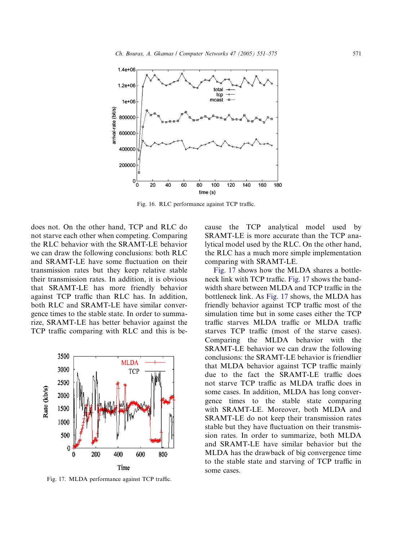<span id="page-20-0"></span>

Fig. 16. RLC performance against TCP traffic.

does not. On the other hand, TCP and RLC do not starve each other when competing. Comparing the RLC behavior with the SRAMT-LE behavior we can draw the following conclusions: both RLC and SRAMT-LE have some fluctuation on their transmission rates but they keep relative stable their transmission rates. In addition, it is obvious that SRAMT-LE has more friendly behavior against TCP traffic than RLC has. In addition, both RLC and SRAMT-LE have similar convergence times to the stable state. In order to summarize, SRAMT-LE has better behavior against the TCP traffic comparing with RLC and this is be-



Fig. 17. MLDA performance against TCP traffic.

cause the TCP analytical model used by SRAMT-LE is more accurate than the TCP analytical model used by the RLC. On the other hand, the RLC has a much more simple implementation comparing with SRAMT-LE.

Fig. 17 shows how the MLDA shares a bottleneck link with TCP traffic. Fig. 17 shows the bandwidth share between MLDA and TCP traffic in the bottleneck link. As Fig. 17 shows, the MLDA has friendly behavior against TCP traffic most of the simulation time but in some cases either the TCP traffic starves MLDA traffic or MLDA traffic starves TCP traffic (most of the starve cases). Comparing the MLDA behavior with the SRAMT-LE behavior we can draw the following conclusions: the SRAMT-LE behavior is friendlier that MLDA behavior against TCP traffic mainly due to the fact the SRAMT-LE traffic does not starve TCP traffic as MLDA traffic does in some cases. In addition, MLDA has long convergence times to the stable state comparing with SRAMT-LE. Moreover, both MLDA and SRAMT-LE do not keep their transmission rates stable but they have fluctuation on their transmission rates. In order to summarize, both MLDA and SRAMT-LE have similar behavior but the MLDA has the drawback of big convergence time to the stable state and starving of TCP traffic in some cases.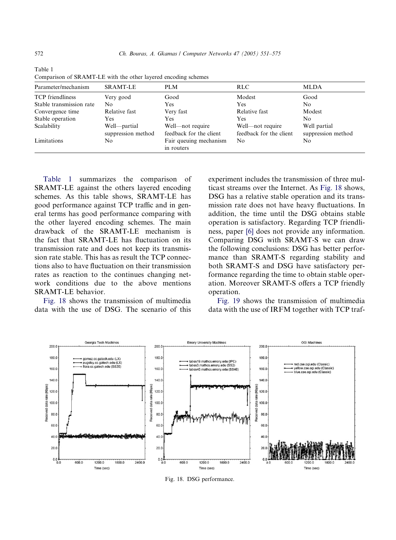| Parameter/mechanism      | <b>SRAMT-LE</b>    | PLM                                  | <b>RLC</b>              | <b>MLDA</b>        |
|--------------------------|--------------------|--------------------------------------|-------------------------|--------------------|
| <b>TCP</b> friendliness  | Very good          | Good                                 | Modest                  | Good               |
| Stable transmission rate | No.                | Yes                                  | Yes                     | No                 |
| Convergence time         | Relative fast      | Very fast                            | Relative fast           | Modest             |
| Stable operation         | <b>Yes</b>         | <b>Yes</b>                           | <b>Yes</b>              | No                 |
| Scalability              | Well-partial       | Well-not require                     | Well-not require        | Well partial       |
|                          | suppression method | feedback for the client              | feedback for the client | suppression method |
| Limitations              | No                 | Fair queuing mechanism<br>in routers | No                      | No                 |

Table 1 Comparison of SRAMT-LE with the other layered encoding schemes

Table 1 summarizes the comparison of SRAMT-LE against the others layered encoding schemes. As this table shows, SRAMT-LE has good performance against TCP traffic and in general terms has good performance comparing with the other layered encoding schemes. The main drawback of the SRAMT-LE mechanism is the fact that SRAMT-LE has fluctuation on its transmission rate and does not keep its transmission rate stable. This has as result the TCP connections also to have fluctuation on their transmission rates as reaction to the continues changing network conditions due to the above mentions SRAMT-LE behavior.

Fig. 18 shows the transmission of multimedia data with the use of DSG. The scenario of this experiment includes the transmission of three multicast streams over the Internet. As Fig. 18 shows, DSG has a relative stable operation and its transmission rate does not have heavy fluctuations. In addition, the time until the DSG obtains stable operation is satisfactory. Regarding TCP friendli-ness, paper [\[6\]](#page-23-0) does not provide any information. Comparing DSG with SRAMT-S we can draw the following conclusions: DSG has better performance than SRAMT-S regarding stability and both SRAMT-S and DSG have satisfactory performance regarding the time to obtain stable operation. Moreover SRAMT-S offers a TCP friendly operation.

[Fig. 19](#page-22-0) shows the transmission of multimedia data with the use of IRFM together with TCP traf-



Fig. 18. DSG performance.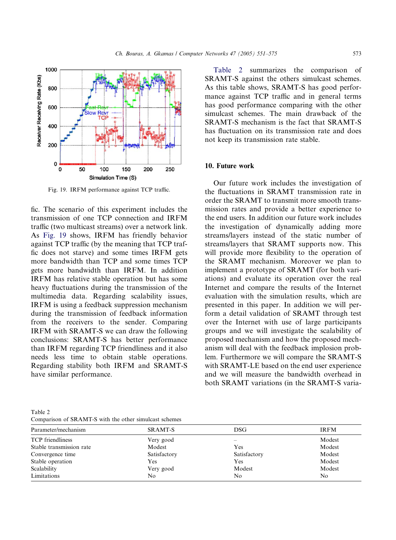<span id="page-22-0"></span>

Fig. 19. IRFM performance against TCP traffic.

fic. The scenario of this experiment includes the transmission of one TCP connection and IRFM traffic (two multicast streams) over a network link. As Fig. 19 shows, IRFM has friendly behavior against TCP traffic (by the meaning that TCP traffic does not starve) and some times IRFM gets more bandwidth than TCP and some times TCP gets more bandwidth than IRFM. In addition IRFM has relative stable operation but has some heavy fluctuations during the transmission of the multimedia data. Regarding scalability issues, IRFM is using a feedback suppression mechanism during the transmission of feedback information from the receivers to the sender. Comparing IRFM with SRAMT-S we can draw the following conclusions: SRAMT-S has better performance than IRFM regarding TCP friendliness and it also needs less time to obtain stable operations. Regarding stability both IRFM and SRAMT-S have similar performance.

Table 2 summarizes the comparison of SRAMT-S against the others simulcast schemes. As this table shows, SRAMT-S has good performance against TCP traffic and in general terms has good performance comparing with the other simulcast schemes. The main drawback of the SRAMT-S mechanism is the fact that SRAMT-S has fluctuation on its transmission rate and does not keep its transmission rate stable.

## 10. Future work

Our future work includes the investigation of the fluctuations in SRAMT transmission rate in order the SRAMT to transmit more smooth transmission rates and provide a better experience to the end users. In addition our future work includes the investigation of dynamically adding more streams/layers instead of the static number of streams/layers that SRAMT supports now. This will provide more flexibility to the operation of the SRAMT mechanism. Moreover we plan to implement a prototype of SRAMT (for both variations) and evaluate its operation over the real Internet and compare the results of the Internet evaluation with the simulation results, which are presented in this paper. In addition we will perform a detail validation of SRAMT through test over the Internet with use of large participants groups and we will investigate the scalability of proposed mechanism and how the proposed mechanism will deal with the feedback implosion problem. Furthermore we will compare the SRAMT-S with SRAMT-LE based on the end user experience and we will measure the bandwidth overhead in both SRAMT variations (in the SRAMT-S varia-

Table 2

Comparison of SRAMT-S with the other simulcast schemes

| Parameter/mechanism      | <b>SRAMT-S</b> | <b>DSG</b>               | <b>IRFM</b> |
|--------------------------|----------------|--------------------------|-------------|
| <b>TCP</b> friendliness  | Very good      | $\overline{\phantom{a}}$ | Modest      |
| Stable transmission rate | Modest         | Yes                      | Modest      |
| Convergence time         | Satisfactory   | Satisfactory             | Modest      |
| Stable operation         | Yes            | Yes                      | Modest      |
| Scalability              | Very good      | Modest                   | Modest      |
| Limitations              | No             | No                       | No          |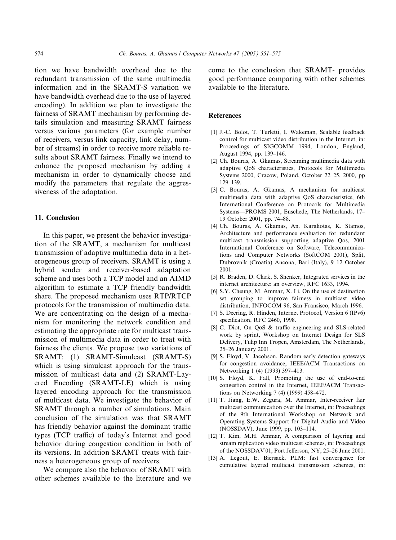<span id="page-23-0"></span>tion we have bandwidth overhead due to the redundant transmission of the same multimedia information and in the SRAMT-S variation we have bandwidth overhead due to the use of layered encoding). In addition we plan to investigate the fairness of SRAMT mechanism by performing details simulation and measuring SRAMT fairness versus various parameters (for example number of receivers, versus link capacity, link delay, number of streams) in order to receive more reliable results about SRAMT fairness. Finally we intend to enhance the proposed mechanism by adding a mechanism in order to dynamically choose and modify the parameters that regulate the aggressiveness of the adaptation.

#### 11. Conclusion

In this paper, we present the behavior investigation of the SRAMT, a mechanism for multicast transmission of adaptive multimedia data in a heterogeneous group of receivers. SRAMT is using a hybrid sender and receiver-based adaptation scheme and uses both a TCP model and an AIMD algorithm to estimate a TCP friendly bandwidth share. The proposed mechanism uses RTP/RTCP protocols for the transmission of multimedia data. We are concentrating on the design of a mechanism for monitoring the network condition and estimating the appropriate rate for multicast transmission of multimedia data in order to treat with fairness the clients. We propose two variations of SRAMT: (1) SRAMT-Simulcast (SRAMT-S) which is using simulcast approach for the transmission of multicast data and (2) SRAMT-Layered Encoding (SRAMT-LE) which is using layered encoding approach for the transmission of multicast data. We investigate the behavior of SRAMT through a number of simulations. Main conclusion of the simulation was that SRAMT has friendly behavior against the dominant traffic types (TCP traffic) of todays Internet and good behavior during congestion condition in both of its versions. In addition SRAMT treats with fairness a heterogeneous group of receivers.

We compare also the behavior of SRAMT with other schemes available to the literature and we come to the conclusion that SRAMT- provides good performance comparing with other schemes available to the literature.

## References

- [1] J.-C. Bolot, T. Turletti, I. Wakeman, Scalable feedback control for multicast video distribution in the Internet, in: Proceedings of SIGCOMM 1994, London, England, August 1994, pp. 139-146.
- [2] Ch. Bouras, A. Gkamas, Streaming multimedia data with adaptive QoS characteristics, Protocols for Multimedia Systems 2000, Cracow, Poland, October 22-25, 2000, pp 129–139.
- [3] C. Bouras, A. Gkamas, A mechanism for multicast multimedia data with adaptive QoS characteristics, 6th International Conference on Protocols for Multimedia Systems—PROMS 2001, Enschede, The Netherlands, 17– 19 October 2001, pp. 74–88.
- [4] Ch. Bouras, A. Gkamas, An. Karaliotas, K. Stamos, Architecture and performance evaluation for redundant multicast transmission supporting adaptive Qos,2001 International Conference on Software, Telecommunications and Computer Networks (SoftCOM 2001), Split, Dubrovnik (Croatia) Ancona, Bari (Italy), 9-12 October 2001.
- [5] R. Braden, D. Clark, S. Shenker, Integrated services in the internet architecture: an overview, RFC 1633, 1994.
- [6] S.Y. Cheung, M. Ammar, X. Li, On the use of destination set grouping to improve fairness in multicast video distribution, INFOCOM 96, San Fransisco, March 1996.
- [7] S. Deering, R. Hinden, Internet Protocol, Version 6 (IPv6) specification, RFC 2460, 1998.
- [8] C. Diot, On QoS & traffic engineering and SLS-related work by sprint, Workshop on Internet Design for SLS Delivery, Tulip Inn Tropen, Amsterdam, The Netherlands, 25–26 January 2001.
- [9] S. Floyd, V. Jacobson, Random early detection gateways for congestion avoidance, IEEE/ACM Transactions on Networking 1 (4) (1993) 397–413.
- [10] S. Floyd, K. Fall, Promoting the use of end-to-end congestion control in the Internet, IEEE/ACM Transactions on Networking 7 (4) (1999) 458–472.
- [11] T. Jiang, E.W. Zegura, M. Ammar, Inter-receiver fair multicast communication over the Internet, in: Proceedings of the 9th International Workshop on Network and Operating Systems Support for Digital Audio and Video (NOSSDAV), June 1999, pp. 103–114.
- [12] T. Kim, M.H. Ammar, A comparison of layering and stream replication video multicast schemes, in: Proceedings of the NOSSDAV'01, Port Jefferson, NY, 25–26 June 2001.
- [13] A. Legout, E. Biersack. PLM: fast convergence for cumulative layered multicast transmission schemes, in: